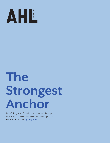

## **The Strongest Anchor AHL**<br>Stron<br>Anch<br>Anchar Health Properties se

Ben Ochs, James Schmid, and Katie Jacoby explain how Anchor Health Properties sets itself apart as a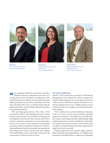





**James Schmid** *Chief Investment Officer and Managing Partner* Anchor Health Properties

**Ben Ochs** *CEO and Managing Partner* Anchor Health Properties

hen speaking with three executives on Anchor Health Properties' leadership team, there is a synergy that just can't be faked. It's emblematic of the small-business and employee-owned mindset that has helped propel the success of the nationally active firm that, after thirty-five years, is still operating with the agility and patient-centric mindset that puts no project in a predetermined box.

CEO and Managing Partner Ben Ochs, Chief Investment Officer and Managing Partner James Schmid, and Executive Vice President of Strategy and Development and Partner Katie Jacoby shared how Anchor's intensive investment in its operating platform; its core values, vision statement, and purpose statement; and its continued commitment to relationship-building both inside and outside the organization have helped spur Anchor's growth into new regions, while still finding a way to stay deeply connected to the communities in which Anchor is active.

## **The Anchor Difference**

Anchor's CEO (and former president of Brinkman Management & Development, which merged with Anchor Health Properties in 2015) is quick to point out what he sees as DNA-level reasons for Anchor's continued evolution and success. "I think you have to start with the fact that we're employee owned and operated," Ochs explains.

"We're a full-service, private healthcare real estate firm, so we don't need to meet quarterly earnings targets," he continues. "That allows us to be fully flexible, creative, and entrepreneurial in delivering the right capital solutions for our clients. I think that's what helps set us apart from a lot of our peers in the industry and can allow us to bring solutions that other organizations might not be able to provide."

Schmid approaches from another angle: Anchor's fully integrated operating platform. In a highly niche real estate sector like Anchor's, it takes a lot of operating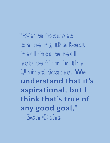**"We're focused on being the best healthcare real estate firm in the United States. We understand that it's aspirational, but I think that's true of any good goal." —Ben Ochs**